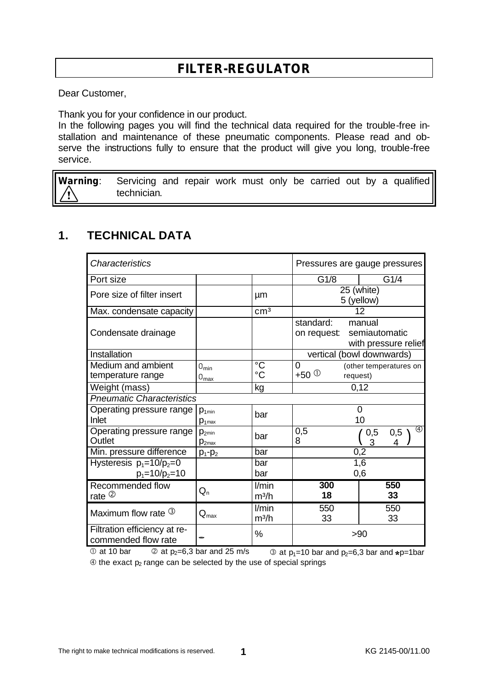# **FILTER-REGULATOR**

Dear Customer,

Thank you for your confidence in our product.

In the following pages you will find the technical data required for the trouble-free installation and maintenance of these pneumatic components. Please read and observe the instructions fully to ensure that the product will give you long, trouble-free service.

**Warning**: Servicing and repair work must only be carried out by a qualified technician. Ţ

#### **1. TECHNICAL DATA**

| Characteristics                                      |                               |                            | Pressures are gauge pressures                                               |                                    |
|------------------------------------------------------|-------------------------------|----------------------------|-----------------------------------------------------------------------------|------------------------------------|
| Port size                                            |                               |                            | G1/8                                                                        | G1/4                               |
| Pore size of filter insert                           |                               | μm                         | 25 (white)<br>5 (yellow)                                                    |                                    |
| Max. condensate capacity                             |                               | cm <sup>3</sup>            | 12                                                                          |                                    |
| Condensate drainage                                  |                               |                            | standard:<br>manual<br>semiautomatic<br>on request:<br>with pressure relief |                                    |
| Installation                                         |                               |                            | vertical (bowl downwards)                                                   |                                    |
| Medium and ambient<br>temperature range              | $0_{min}$<br>$0_{\text{max}}$ | $^{\circ}C$<br>$^{\circ}C$ | 0<br>+50 $\circ$                                                            | (other temperatures on<br>request) |
| Weight (mass)                                        |                               | kg                         |                                                                             | 0,12                               |
| <b>Pneumatic Characteristics</b>                     |                               |                            |                                                                             |                                    |
| Operating pressure range<br>Inlet                    | $p_{1min}$<br>$p_{1max}$      | bar                        |                                                                             | $\overline{0}$<br>10               |
| Operating pressure range<br>Outlet                   | $p_{2min}$<br>$D_{2max}$      | bar                        | 0,5<br>8                                                                    | $\left( 4\right)$<br>0,5<br>0,5    |
| Min. pressure difference                             | $p_1 - p_2$                   | bar                        |                                                                             | 0,2                                |
| Hysteresis $p_1 = 10/p_2 = 0$<br>$p_1 = 10/p_2 = 10$ |                               | bar<br>bar                 | 1,6<br>0,6                                                                  |                                    |
| Recommended flow<br>rate $2$                         | $\mathsf{Q}_{\mathsf{n}}$     | l/min<br>m <sup>3</sup> /h | 300<br>18                                                                   | 550<br>33                          |
| Maximum flow rate 3                                  | $Q_{\text{max}}$              | l/min<br>m <sup>3</sup> /h | 550<br>33                                                                   | 550<br>33                          |
| Filtration efficiency at re-<br>commended flow rate  |                               | $\%$                       | >90                                                                         |                                    |

① at 10 bar  $\circledcirc$  at p<sub>2</sub>=6,3 bar and 25 m/s  $\circledcirc$  at p<sub>1</sub>=10 bar and p<sub>2</sub>=6,3 bar and \*p=1bar  $\circledA$  the exact  $p_2$  range can be selected by the use of special springs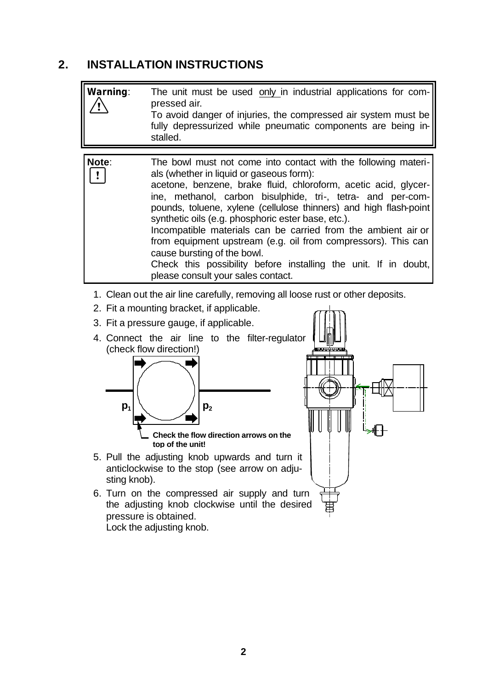## **2. INSTALLATION INSTRUCTIONS**

| Warning: | The unit must be used only in industrial applications for com-<br>pressed air.<br>To avoid danger of injuries, the compressed air system must be<br>fully depressurized while pneumatic components are being in-<br>stalled.                                                                                                                                                                                                                                                                                                                                                                                                                      |
|----------|---------------------------------------------------------------------------------------------------------------------------------------------------------------------------------------------------------------------------------------------------------------------------------------------------------------------------------------------------------------------------------------------------------------------------------------------------------------------------------------------------------------------------------------------------------------------------------------------------------------------------------------------------|
| Note:    | The bowl must not come into contact with the following materi-<br>als (whether in liquid or gaseous form):<br>acetone, benzene, brake fluid, chloroform, acetic acid, glycer-<br>ine, methanol, carbon bisulphide, tri-, tetra- and per-com-<br>pounds, toluene, xylene (cellulose thinners) and high flash-point<br>synthetic oils (e.g. phosphoric ester base, etc.).<br>Incompatible materials can be carried from the ambient air or<br>from equipment upstream (e.g. oil from compressors). This can<br>cause bursting of the bowl.<br>Check this possibility before installing the unit. If in doubt,<br>please consult your sales contact. |

- 1. Clean out the air line carefully, removing all loose rust or other deposits.
- 2. Fit a mounting bracket, if applicable.
- 3. Fit a pressure gauge, if applicable.
- 4. Connect the air line to the filter-regulator (check flow direction!)



**top of the unit!**



6. Turn on the compressed air supply and turn the adjusting knob clockwise until the desired pressure is obtained.

Lock the adjusting knob.

sting knob).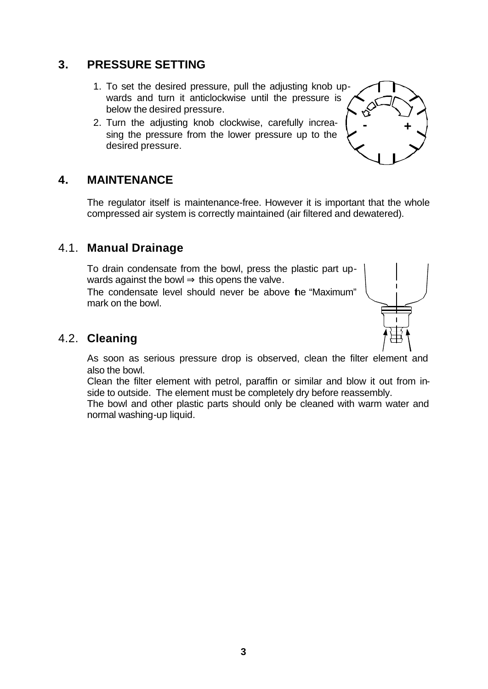#### **3. PRESSURE SETTING**

- 1. To set the desired pressure, pull the adjusting knob upwards and turn it anticlockwise until the pressure is below the desired pressure.
- 2. Turn the adjusting knob clockwise, carefully increasing the pressure from the lower pressure up to the desired pressure.

#### **4. MAINTENANCE**

The regulator itself is maintenance-free. However it is important that the whole compressed air system is correctly maintained (air filtered and dewatered).

#### 4.1. **Manual Drainage**

To drain condensate from the bowl, press the plastic part upwards against the bowl  $\Rightarrow$  this opens the valve.

The condensate level should never be above the "Maximum" mark on the bowl.

#### 4.2. **Cleaning**

As soon as serious pressure drop is observed, clean the filter element and also the bowl.

Clean the filter element with petrol, paraffin or similar and blow it out from inside to outside. The element must be completely dry before reassembly.

The bowl and other plastic parts should only be cleaned with warm water and normal washing-up liquid.

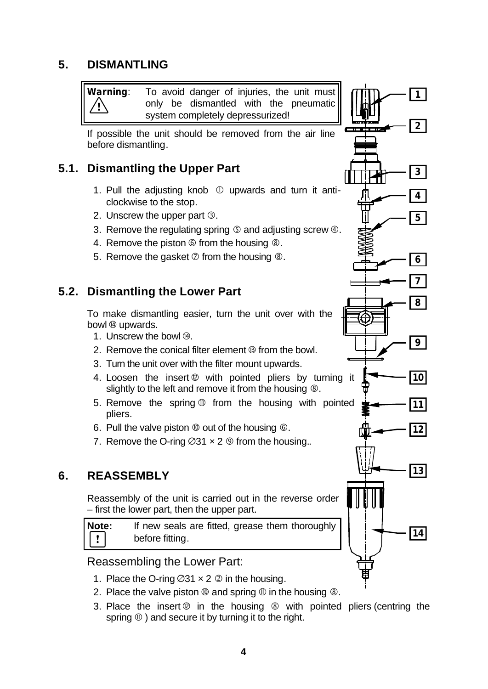### **5. DISMANTLING**

**Warning**: To avoid danger of injuries, the unit must only be dismantled with the pneumatic system completely depressurized!

If possible the unit should be removed from the air line before dismantling.

#### **5.1. Dismantling the Upper Part**

- 1. Pull the adjusting knob  $\odot$  upwards and turn it anticlockwise to the stop.
- 2. Unscrew the upper part *3*.
- 3. Remove the regulating spring  $\circledS$  and adjusting screw  $\circledA$ .
- 4. Remove the piston  $\circledcirc$  from the housing  $\circledcirc$ .
- 5. Remove the gasket  $\oslash$  from the housing  $\oslash$ .

#### **5.2. Dismantling the Lower Part**

To make dismantling easier, turn the unit over with the bowl  $@$  upwards.

- 1. Unscrew the bowl  $@.$
- 2. Remove the conical filter element ë from the bowl.
- 3. Turn the unit over with the filter mount upwards.
- 4. Loosen the insert @ with pointed pliers by turning it slightly to the left and remove it from the housing  $\circledast$ .
- 5. Remove the spring *m* from the housing with pointed pliers.
- 6. Pull the valve piston  $\omega$  out of the housing  $\omega$ .
- 7. Remove the O-ring  $\varnothing$ 31  $\times$  2  $\circledcirc$  from the housing..

#### **6. REASSEMBLY**

Reassembly of the unit is carried out in the reverse order – first the lower part, then the upper part.

**Note:** If new seals are fitted, grease them thoroughly  $\mathbf{I}$ before fitting.

#### Reassembling the Lower Part:

- 1. Place the O-ring  $\varnothing$ 31  $\times$  2  $\varnothing$  in the housing.
- 2. Place the valve piston  $\omega$  and spring  $\omega$  in the housing  $\omega$ .
- 3. Place the insert  $\circledR$  in the housing  $\circledR$  with pointed pliers (centring the spring  $\mathbf{\Phi}$  ) and secure it by turning it to the right.

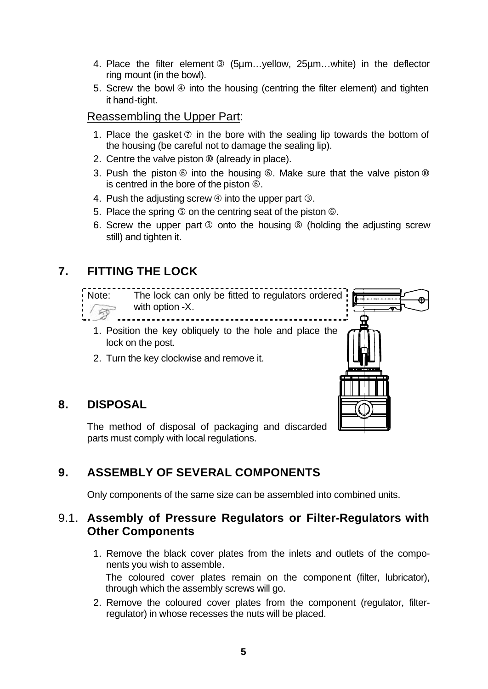- 4. Place the filter element  $\circled{S}$  (5µm...yellow, 25µm...white) in the deflector ring mount (in the bowl).
- 5. Screw the bowl  $\Phi$  into the housing (centring the filter element) and tighten it hand-tight.

#### Reassembling the Upper Part:

- 1. Place the gasket  $\oslash$  in the bore with the sealing lip towards the bottom of the housing (be careful not to damage the sealing lip).
- 2. Centre the valve piston  $\omega$  (already in place).
- 3. Push the piston  $\circledcirc$  into the housing  $\circledcirc$ . Make sure that the valve piston  $\circledcirc$ is centred in the bore of the piston  $\circledcirc$ .
- 4. Push the adjusting screw  $\circled{0}$  into the upper part  $\circled{0}$ .
- 5. Place the spring  $\circledcirc$  on the centring seat of the piston  $\circledcirc$ .
- 6. Screw the upper part  $\circled{s}$  onto the housing  $\circled{s}$  (holding the adjusting screw still) and tighten it.

# **7. FITTING THE LOCK**



## **8. DISPOSAL**

parts must comply with local regulations.

## **9. ASSEMBLY OF SEVERAL COMPONENTS**

Only components of the same size can be assembled into combined units.

#### 9.1. **Assembly of Pressure Regulators or Filter-Regulators with Other Components**

- 1. Remove the black cover plates from the inlets and outlets of the components you wish to assemble. The coloured cover plates remain on the component (filter, lubricator), through which the assembly screws will go.
- 2. Remove the coloured cover plates from the component (regulator, filterregulator) in whose recesses the nuts will be placed.